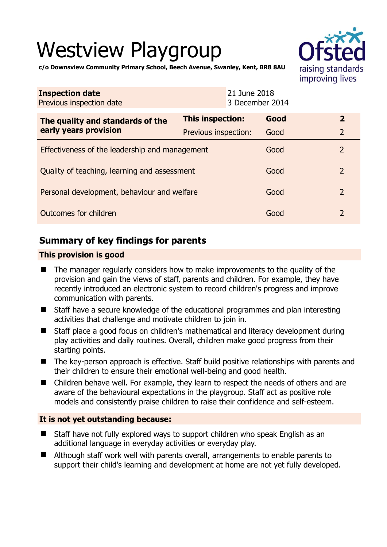# Westview Playgroup



**c/o Downsview Community Primary School, Beech Avenue, Swanley, Kent, BR8 8AU** 

| <b>Inspection date</b><br>Previous inspection date        | 21 June 2018         | 3 December 2014 |                |
|-----------------------------------------------------------|----------------------|-----------------|----------------|
| The quality and standards of the<br>early years provision | This inspection:     | Good            | $\overline{2}$ |
|                                                           | Previous inspection: | Good            | $\overline{2}$ |
| Effectiveness of the leadership and management            |                      | Good            | 2              |
| Quality of teaching, learning and assessment              |                      | Good            | $\overline{2}$ |
| Personal development, behaviour and welfare               |                      | Good            | $\overline{2}$ |
| Outcomes for children                                     |                      | Good            | 2              |

# **Summary of key findings for parents**

## **This provision is good**

- The manager regularly considers how to make improvements to the quality of the provision and gain the views of staff, parents and children. For example, they have recently introduced an electronic system to record children's progress and improve communication with parents.
- Staff have a secure knowledge of the educational programmes and plan interesting activities that challenge and motivate children to join in.
- Staff place a good focus on children's mathematical and literacy development during play activities and daily routines. Overall, children make good progress from their starting points.
- The key-person approach is effective. Staff build positive relationships with parents and their children to ensure their emotional well-being and good health.
- Children behave well. For example, they learn to respect the needs of others and are aware of the behavioural expectations in the playgroup. Staff act as positive role models and consistently praise children to raise their confidence and self-esteem.

### **It is not yet outstanding because:**

- Staff have not fully explored ways to support children who speak English as an additional language in everyday activities or everyday play.
- Although staff work well with parents overall, arrangements to enable parents to support their child's learning and development at home are not yet fully developed.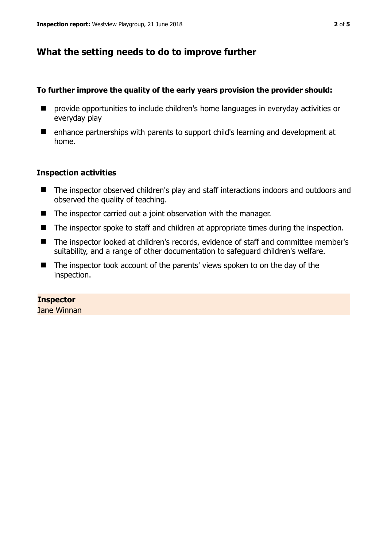# **What the setting needs to do to improve further**

## **To further improve the quality of the early years provision the provider should:**

- provide opportunities to include children's home languages in everyday activities or everyday play
- enhance partnerships with parents to support child's learning and development at home.

## **Inspection activities**

- The inspector observed children's play and staff interactions indoors and outdoors and observed the quality of teaching.
- The inspector carried out a joint observation with the manager.
- The inspector spoke to staff and children at appropriate times during the inspection.
- The inspector looked at children's records, evidence of staff and committee member's suitability, and a range of other documentation to safeguard children's welfare.
- The inspector took account of the parents' views spoken to on the day of the inspection.

# **Inspector**

Jane Winnan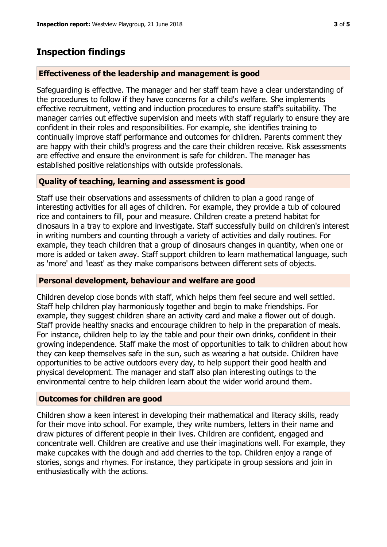# **Inspection findings**

## **Effectiveness of the leadership and management is good**

Safeguarding is effective. The manager and her staff team have a clear understanding of the procedures to follow if they have concerns for a child's welfare. She implements effective recruitment, vetting and induction procedures to ensure staff's suitability. The manager carries out effective supervision and meets with staff regularly to ensure they are confident in their roles and responsibilities. For example, she identifies training to continually improve staff performance and outcomes for children. Parents comment they are happy with their child's progress and the care their children receive. Risk assessments are effective and ensure the environment is safe for children. The manager has established positive relationships with outside professionals.

### **Quality of teaching, learning and assessment is good**

Staff use their observations and assessments of children to plan a good range of interesting activities for all ages of children. For example, they provide a tub of coloured rice and containers to fill, pour and measure. Children create a pretend habitat for dinosaurs in a tray to explore and investigate. Staff successfully build on children's interest in writing numbers and counting through a variety of activities and daily routines. For example, they teach children that a group of dinosaurs changes in quantity, when one or more is added or taken away. Staff support children to learn mathematical language, such as 'more' and 'least' as they make comparisons between different sets of objects.

### **Personal development, behaviour and welfare are good**

Children develop close bonds with staff, which helps them feel secure and well settled. Staff help children play harmoniously together and begin to make friendships. For example, they suggest children share an activity card and make a flower out of dough. Staff provide healthy snacks and encourage children to help in the preparation of meals. For instance, children help to lay the table and pour their own drinks, confident in their growing independence. Staff make the most of opportunities to talk to children about how they can keep themselves safe in the sun, such as wearing a hat outside. Children have opportunities to be active outdoors every day, to help support their good health and physical development. The manager and staff also plan interesting outings to the environmental centre to help children learn about the wider world around them.

# **Outcomes for children are good**

Children show a keen interest in developing their mathematical and literacy skills, ready for their move into school. For example, they write numbers, letters in their name and draw pictures of different people in their lives. Children are confident, engaged and concentrate well. Children are creative and use their imaginations well. For example, they make cupcakes with the dough and add cherries to the top. Children enjoy a range of stories, songs and rhymes. For instance, they participate in group sessions and join in enthusiastically with the actions.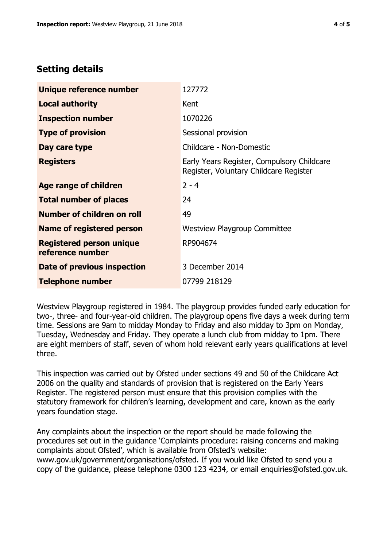# **Setting details**

| Unique reference number                             | 127772                                                                               |  |
|-----------------------------------------------------|--------------------------------------------------------------------------------------|--|
| <b>Local authority</b>                              | Kent                                                                                 |  |
| <b>Inspection number</b>                            | 1070226                                                                              |  |
| <b>Type of provision</b>                            | Sessional provision                                                                  |  |
| Day care type                                       | Childcare - Non-Domestic                                                             |  |
| <b>Registers</b>                                    | Early Years Register, Compulsory Childcare<br>Register, Voluntary Childcare Register |  |
| Age range of children                               | $2 - 4$                                                                              |  |
| <b>Total number of places</b>                       | 24                                                                                   |  |
| Number of children on roll                          | 49                                                                                   |  |
| Name of registered person                           | <b>Westview Playgroup Committee</b>                                                  |  |
| <b>Registered person unique</b><br>reference number | RP904674                                                                             |  |
| <b>Date of previous inspection</b>                  | 3 December 2014                                                                      |  |
| <b>Telephone number</b>                             | 07799 218129                                                                         |  |

Westview Playgroup registered in 1984. The playgroup provides funded early education for two-, three- and four-year-old children. The playgroup opens five days a week during term time. Sessions are 9am to midday Monday to Friday and also midday to 3pm on Monday, Tuesday, Wednesday and Friday. They operate a lunch club from midday to 1pm. There are eight members of staff, seven of whom hold relevant early years qualifications at level three.

This inspection was carried out by Ofsted under sections 49 and 50 of the Childcare Act 2006 on the quality and standards of provision that is registered on the Early Years Register. The registered person must ensure that this provision complies with the statutory framework for children's learning, development and care, known as the early years foundation stage.

Any complaints about the inspection or the report should be made following the procedures set out in the guidance 'Complaints procedure: raising concerns and making complaints about Ofsted', which is available from Ofsted's website: www.gov.uk/government/organisations/ofsted. If you would like Ofsted to send you a copy of the guidance, please telephone 0300 123 4234, or email enquiries@ofsted.gov.uk.